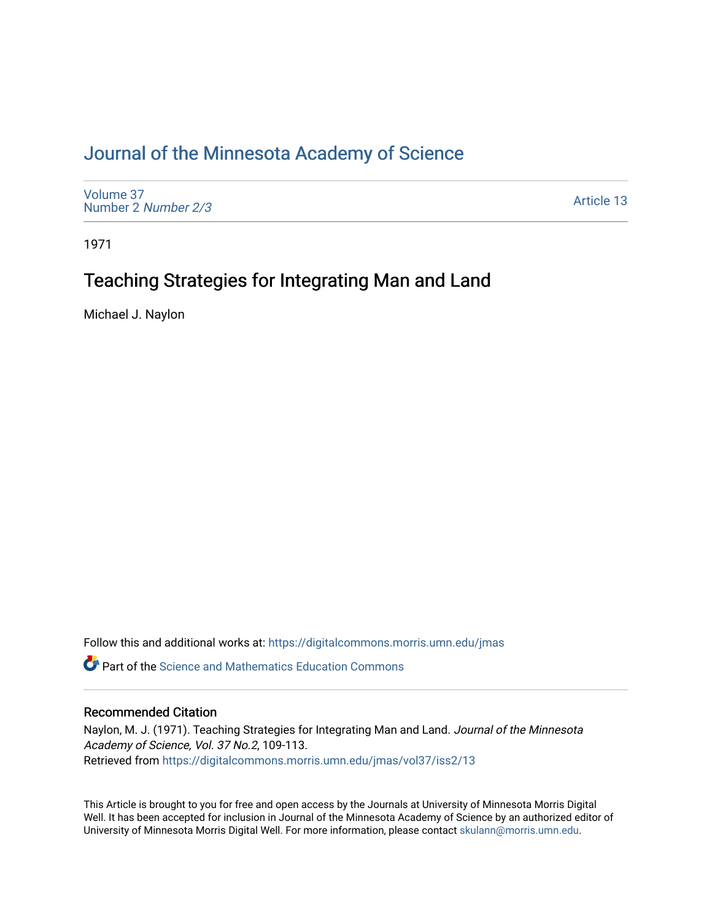### [Journal of the Minnesota Academy of Science](https://digitalcommons.morris.umn.edu/jmas)

[Volume 37](https://digitalcommons.morris.umn.edu/jmas/vol37) [Number 2](https://digitalcommons.morris.umn.edu/jmas/vol37/iss2) Number 2/3

[Article 13](https://digitalcommons.morris.umn.edu/jmas/vol37/iss2/13) 

1971

## Teaching Strategies for Integrating Man and Land

Michael J. Naylon

Follow this and additional works at: [https://digitalcommons.morris.umn.edu/jmas](https://digitalcommons.morris.umn.edu/jmas?utm_source=digitalcommons.morris.umn.edu%2Fjmas%2Fvol37%2Fiss2%2F13&utm_medium=PDF&utm_campaign=PDFCoverPages) 

*O* Part of the Science and Mathematics Education Commons

### Recommended Citation

Naylon, M. J. (1971). Teaching Strategies for Integrating Man and Land. Journal of the Minnesota Academy of Science, Vol. 37 No.2, 109-113. Retrieved from [https://digitalcommons.morris.umn.edu/jmas/vol37/iss2/13](https://digitalcommons.morris.umn.edu/jmas/vol37/iss2/13?utm_source=digitalcommons.morris.umn.edu%2Fjmas%2Fvol37%2Fiss2%2F13&utm_medium=PDF&utm_campaign=PDFCoverPages) 

This Article is brought to you for free and open access by the Journals at University of Minnesota Morris Digital Well. It has been accepted for inclusion in Journal of the Minnesota Academy of Science by an authorized editor of University of Minnesota Morris Digital Well. For more information, please contact [skulann@morris.umn.edu](mailto:skulann@morris.umn.edu).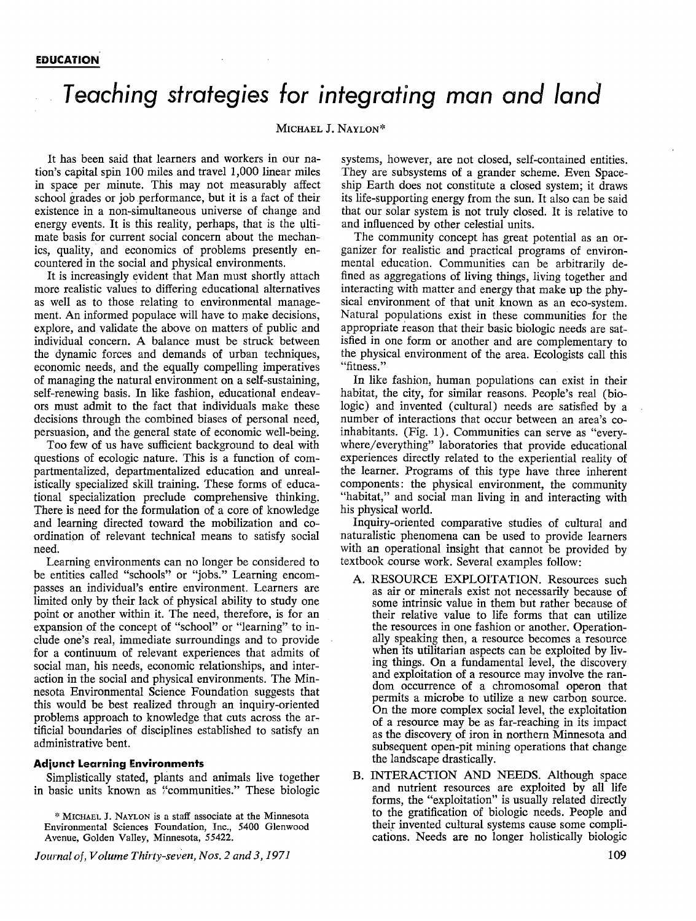# *Teaching strategies for integrating man and land*

#### MICHAEL J. NAYLON\*

It has been said that learners and workers in our nation's capital spin 100 miles and travel 1,000 linear miles in space per minute. This may not measurably affect school grades or job performance, but it is a fact of their existence in a non-simultaneous universe of change and energy events. It is this reality, perhaps, that is the ultimate basis for current social concern about the mechanics, quality, and economics of problems presently encountered in the social and physical environments.

It is increasingly evident that Man must shortly attach more realistic values to differing educational alternatives as well as to those relating to environmental management. An informed populace will have to make decisions, explore, and validate the above on matters of public and individual concern. A balance must be struck between the dynamic forces and demands of urban techniques, economic needs, and the equally compelling imperatives of managing the natural environment on a self-sustaining, self-renewing basis. In like fashion, educational endeavors must admit to the fact that individuals make these decisions through the combined biases of personal need, persuasion, and the general state of economic well-being.

Too few of us have sufficient background to deal with questions of ecologic nature. This is a function of compartmentalized, departmentalized education and unrealistically specialized skill training. These forms of educational specialization preclude comprehensive thinking. There is need for the formulation of a core of knowledge and learning directed toward the mobilization and coordination of relevant technical means to satisfy social need.

Learning environments can no longer be considered to be entities called "schools" or "jobs." Learning encompasses an individual's entire environment. Learners are limited only by their lack of physical ability to study one point or another within it. The need, therefore, is for an expansion of the concept of "school" or "learning" to include one's real, immediate surroundings and to provide for a continuum of relevant experiences that admits of social man, his needs, economic relationships, and interaction in the social and physical environments. The **Min**nesota Environmental Science Foundation suggests that this would be best realized through an inquiry-oriented problems approach to knowledge that cuts across the artificial boundaries of disciplines established to satisfy an administrative bent.

#### **Adjunct Learning Environments**

Simplistically stated, plants and animals live together in basic units known as "communities." These biologic

\* MICHAEL J. NAYL0N is a staff associate at the Minnesota Environmental Sciences Foundation, Inc., 5400 Glenwood Avenue, Golden Valley, Minnesota, 55422.

*Journal of, Volume Thirty-seven, Nos. 2 and 3, 1971* 

systems, however, are not closed, self-contained entities. They are subsystems of a grander scheme. Even Spaceship Earth does not constitute a closed system; it draws its life-supporting energy from the sun. It also can be said that our solar system is not truly closed. It is relative to and influenced by other celestial units.

The community concept has great potential as an organizer for realistic and practical programs of environmental education. Communities can be arbitrarily defined as aggregations of living things, living together and interacting with matter and energy that make up the physical environment of that unit known as an eco-system. Natural populations exist in these communities for the appropriate reason that their basic biologic needs are satisfied in one form or another and are complementary to the physical environment of the area. Ecologists call this "fitness."

In like fashion, human populations can exist in their habitat, the city, for similar reasons. People's real (biologic) and invented (cultural) needs are satisfied by a number of interactions that occur between an area's coinhabitants. (Fig. 1). Communities can serve as "everywhere/ everything" laboratories that provide educational experiences directly related to the experiential reality of the learner. Programs of this type have three inherent components: the physical environment, the community "habitat," and social man living in and interacting with his physical world.

Inquiry-oriented comparative studies of cultural and naturalistic phenomena can be used to provide learners with an operational insight that cannot be provided by textbook course work. Several examples follow:

- A. RESOURCE EXPLOITATION. Resources such as air or minerals exist not necessarily because of some intrinsic value in them but rather because of their relative value to life forms that can utilize the resources in one fashion or another. Operationally speaking then, a resource becomes a resource when its utilitarian aspects can be exploited by living things. On a fundamental level, the discovery and exploitation of a resource may involve the random occurrence of a chromosomal operon that permits a microbe to utilize a new carbon source. On the more complex social level, the exploitation of a resource may be as far-reaching in its impact as the discovery of iron in northern Minnesota and subsequent open-pit mining operations that change the landscape drastically.
- B. INTERACTION AND NEEDS. Although space and nutrient resources are exploited by all life forms, the "exploitation" is usually related directly to the gratification of biologic needs. People and their invented cultural systems cause some complications. Needs are no longer holistically biologic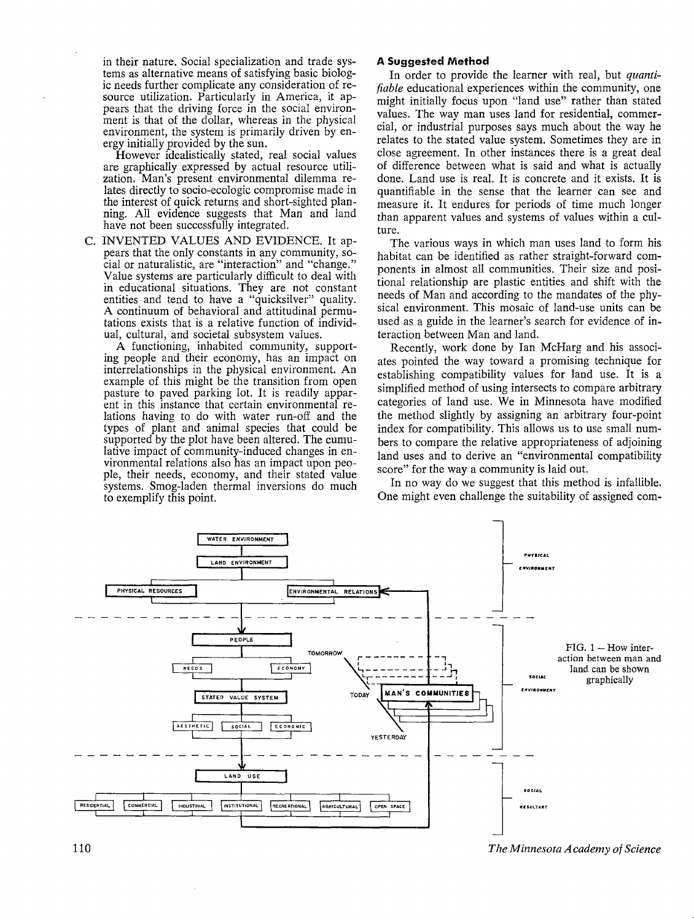in their nature. Social specialization and trade systems as alternative means of satisfying basic biologic needs further complicate any consideration of resource utilization. Particularly in America, it appears that the driving force in the social environment is that of the dollar, whereas in the physical environment, the system is primarily driven by energy initially provided by the sun.

However idealistically stated, real social values are graphically expressed by actual resource utilization. Man's present environmental dilemma relates directly to socio-ecologic compromise made in the interest of quick returns and short-sighted planning. All evidence suggests that Man and land have not been successfully integrated.

C. INVENTED VALUES AND EVIDENCE. It appears that the only constants in any community, social or naturalistic, are "interaction" and "change." Value systems are particularly difficult to deal with in educational situations. They are not constant entities and tend to have a "quicksilver" quality. A continuum of behavioral and attitudinal permutations exists that is a relative function of individual, cultural, and societal subsystem values.

A functioning, inhabited community, supporting people and their economy, has an impact on interrelationships in the physical environment. An example of this might be the transition from open pasture to paved parking lot. It is readily apparent in this instance that certain environmental relations having to do with water run-off and the types of plant and animal species that could be supported by the plot have been altered. The cumulative impact of community-induced changes in environmental relations also has an impact upon people, their needs, economy, and their stated value systems. Smog-laden thermal inversions do much to exemplify this point.

#### **A Suggested Method**

In order to provide the learner with real, but *quantifiable* educational experiences within the community, one might initially focus upon "land use" rather than stated values. The way man uses land for residential, commercial, or industrial purposes says much about the way he relates to the stated value system. Sometimes they are in close agreement. In other instances there is a great deal of difference between what is said and what is actually done. Land use is real. It is concrete and it exists. It is quantifiable in the sense that the learner can see and measure it. It endures for periods of time much longer than apparent values and systems of values within a culture.

The various ways in which man uses land to form his habitat can be identified as rather straight-forward components in almost all communities. Their size and positional relationship are plastic entities and shift with the needs of Man and according to the mandates of the physical environment. This mosaic of land-use units can be used as a guide in the learner's search for evidence of interaction between Man and land.

Recently, work done by Ian McHarg and his associates pointed the way toward a promising technique for establishing compatibility values for land use. It is a simplified method of using intersects to compare arbitrary categories of land use. We in Minnesota have modified the method slightly by assigning an arbitrary four-point index for compatibility. This allows us to use small numbers to compare the relative appropriateness of adjoining land uses and to derive an "environmental compatibility score" for the way a community is laid out.

In no way do we suggest that this method is infallible. One might even challenge the suitability of assigned com-



*The Minnesota Academy of Science*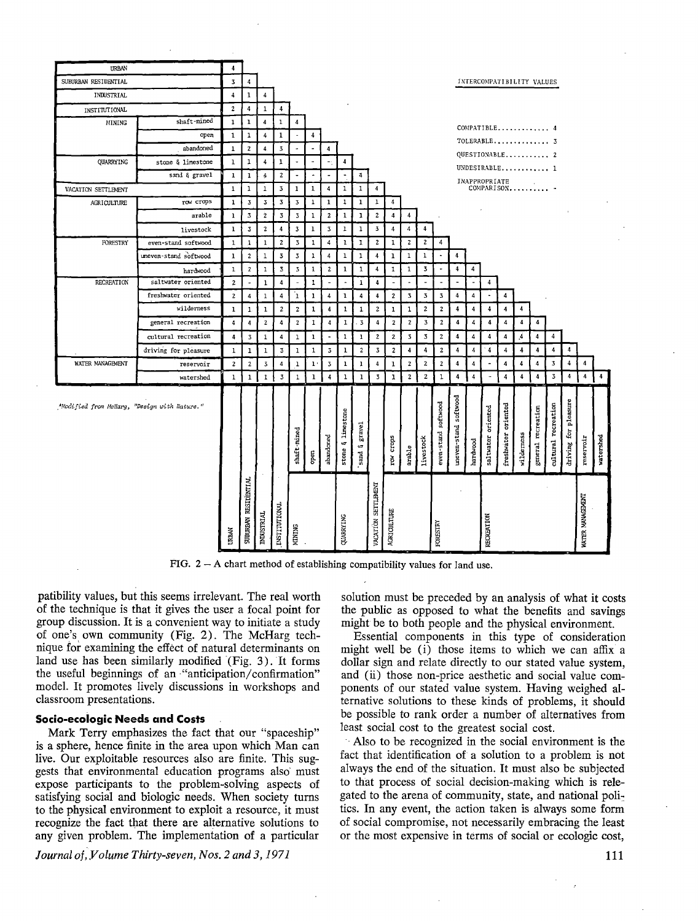

FIG.  $2 - A$  chart method of establishing compatibility values for land use.

patibility values, but this seems irrelevant. The real worth of the technique is that it gives the user a focal point for group discussion. It is a convenient way to initiate a study of one's own community (Fig. 2). The McHarg technique for examining the effect of natural determinants on land use has been similarly modified  $(Fig. 3)$ . It forms the useful beginnings of an "anticipation/confirmation" model. It promotes lively discussions in workshops and classroom presentations.

#### **Socio-ecoiogic Needs and Costs**

Mark Terry emphasizes the fact that our "spaceship" is a sphere, hence finite in the area upon which Man can live. Our exploitable resources also are finite. This suggests that environmental education programs also· must expose participants to the problem-solving aspects of satisfying social and biologic needs. When society turns to the physical environment to exploit a resource, it must recognize the fact that there are alternative solutions to any given problem. The implementation of a particular

Journal of, Volume Thirty-seven, Nos. 2 and 3, 1971

solution must be preceded by an analysis of what it costs the public as opposed to what the benefits and savings might be to both people and the physical environment.

Essential components in this type of consideration might well be (i) those items to which we can affix a dollar sign and relate directly to our stated value system, and (ii) those non-price aesthetic and social value components of our stated value system. Having weighed alternative solutions to these kinds of problems, it should be possible to rank order a number of alternatives from least social cost to the greatest social cost.

Also to be recognized in the social environment is the fact that identification of a solution to a problem is not always the end of the situation. It must also be subjected to that process of social decision-making which is relegated to the arena of community, state, and national politics. In any event, the action taken is always some form of social compromise, not necessarily embracing the least or the most expensive in terms of social or ecologic cost,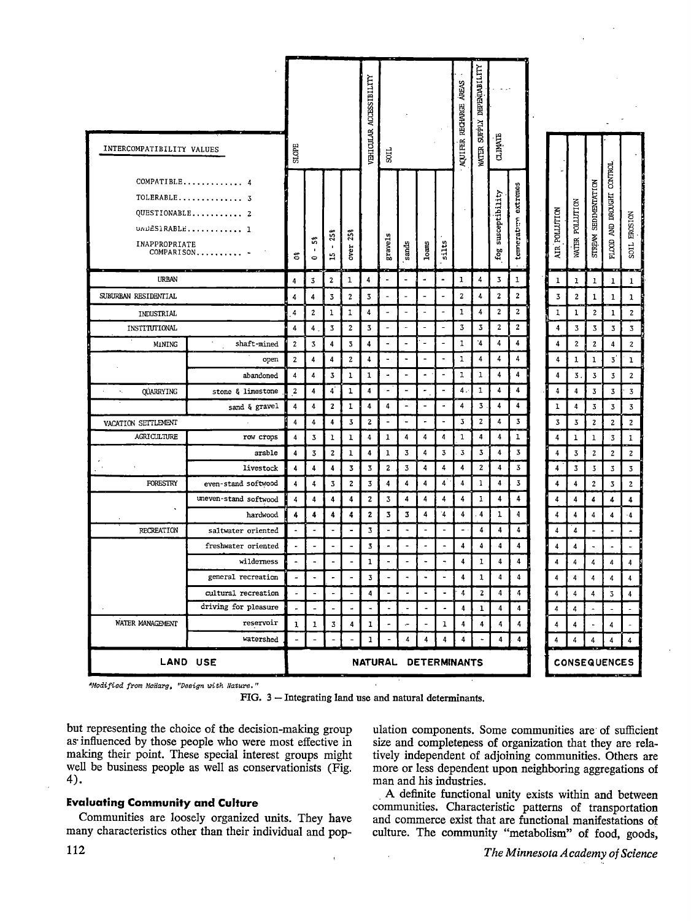|                                                                                                  |                       |                          |                                                                                                                                                                                                                                                                                                                                                                                                                         |                                                                                                                                                                                                                                                                                                                                                                                                                         |                          | VEHICULAR ACCESSIBILITY |                          |                              |                              |                              | AREAS<br>RECHARGE | DEPENDABILITY    |                       |                         |                     |                |                         |                                                       |                                            |                         |
|--------------------------------------------------------------------------------------------------|-----------------------|--------------------------|-------------------------------------------------------------------------------------------------------------------------------------------------------------------------------------------------------------------------------------------------------------------------------------------------------------------------------------------------------------------------------------------------------------------------|-------------------------------------------------------------------------------------------------------------------------------------------------------------------------------------------------------------------------------------------------------------------------------------------------------------------------------------------------------------------------------------------------------------------------|--------------------------|-------------------------|--------------------------|------------------------------|------------------------------|------------------------------|-------------------|------------------|-----------------------|-------------------------|---------------------|----------------|-------------------------|-------------------------------------------------------|--------------------------------------------|-------------------------|
| INTERCOMPATIBILITY VALUES                                                                        |                       | SLOPE                    |                                                                                                                                                                                                                                                                                                                                                                                                                         |                                                                                                                                                                                                                                                                                                                                                                                                                         |                          |                         | 3                        |                              |                              |                              | <b>AQUIFER</b>    | WATER SUPPLY     | <b>CLIMATE</b>        |                         |                     |                |                         |                                                       |                                            |                         |
| COMPATIBLE<br>4<br>TOLERABLE 3<br>QUESTIONABLE 2<br>UNDESIRABLE 1<br>INAPPROPRIATE<br>COMPARISON |                       | ឹ                        | ះ<br>$\mathbf{I}$<br>$\bullet$                                                                                                                                                                                                                                                                                                                                                                                          | 25%<br>$\mathbf{I}$<br>H                                                                                                                                                                                                                                                                                                                                                                                                | 25%<br>over              |                         | gravels                  | sands                        | $Io$ ams                     | silts                        |                   |                  | susceptibility<br>fog | extremes<br>temerative  |                     | AIR POLLUTION  | WATER POLLUTION         | SEDIMENTATION<br><b>STREAM</b>                        | <b>CONTROL</b><br>AND DROUGHT<br>$FLOOD$ . | SOIL EROSION            |
| <b>URBAN</b>                                                                                     |                       | 4                        | 3                                                                                                                                                                                                                                                                                                                                                                                                                       | 2                                                                                                                                                                                                                                                                                                                                                                                                                       | $\mathbf 1$              | 4                       | ÷,                       | $\blacksquare$               | ä,                           | $\blacksquare$               | ı                 | 4                | 3                     | 1                       |                     | ı              | ı                       | 1                                                     | $\mathbf{1}$                               | $\mathbf{1}$            |
| SUBURBAN RESIDENTIAL                                                                             |                       | 4                        | 4                                                                                                                                                                                                                                                                                                                                                                                                                       | 3                                                                                                                                                                                                                                                                                                                                                                                                                       | $\mathbf{2}$             | 3                       | Ē,                       | $\tilde{\phantom{a}}$        | L,                           | $\qquad \qquad \blacksquare$ | 2                 | 4                | 2                     | $\bf{z}$                |                     | 3              | 2                       | 1                                                     | $\mathbf{1}$                               | ı                       |
| INDUSTRIAL                                                                                       |                       | 4                        | $\mathbf{2}% =\mathbf{2}+\mathbf{2}+\mathbf{3}+\mathbf{5}+\mathbf{5}+\mathbf{5}+\mathbf{6}+\mathbf{6}+\mathbf{5}+\mathbf{5}+\mathbf{6}+\mathbf{6}+\mathbf{5}+\mathbf{6}+\mathbf{6}+\mathbf{5}+\mathbf{5}+\mathbf{6}+\mathbf{6}+\mathbf{6}+\mathbf{6}+\mathbf{5}+\mathbf{6}+\mathbf{6}+\mathbf{6}+\mathbf{6}+\mathbf{6}+\mathbf{6}+\mathbf{6}+\mathbf{6}+\mathbf{6}+\mathbf{6}+\mathbf{6}+\mathbf{6}+\mathbf{6}+\mathbf$ | $\mathbf 1$                                                                                                                                                                                                                                                                                                                                                                                                             | 1                        | 4                       | $\overline{\phantom{a}}$ | $\blacksquare$               | $\ddot{\phantom{1}}$         | $\overline{\phantom{a}}$     | 1                 | 4                | $\mathbf{2}$          | $\overline{\mathbf{z}}$ |                     | 1              | 1                       | 2                                                     | 1                                          | $\mathbf{z}$            |
| INSTITUTIONAL                                                                                    |                       | $\ddot{\bf{4}}$          | 4                                                                                                                                                                                                                                                                                                                                                                                                                       | 3                                                                                                                                                                                                                                                                                                                                                                                                                       | 2                        | 3                       | $\overline{\phantom{a}}$ | $\overline{\phantom{a}}$     | $\blacksquare$               | $\blacksquare$               | 3                 | 3                | 2                     | $\mathbf{z}$            |                     | 4              | 3                       | 3                                                     | 3                                          | 3                       |
| MINING                                                                                           | shaft-mined           | $\overline{\mathbf{z}}$  | $\overline{\mathbf{3}}$                                                                                                                                                                                                                                                                                                                                                                                                 | 4                                                                                                                                                                                                                                                                                                                                                                                                                       | $\overline{\mathbf{3}}$  | 4                       | $\blacksquare$           | $\blacksquare$               | $\overline{\phantom{m}}$     | $\overline{a}$               | ı                 | $\cdot$ 4        | 4                     | 4                       |                     | 4              | $\boldsymbol{2}$        | $\mathbf{z}$                                          | 4                                          | $\boldsymbol{2}$        |
|                                                                                                  | open                  | $\mathbf{z}$             | 4                                                                                                                                                                                                                                                                                                                                                                                                                       | $\boldsymbol{4}$                                                                                                                                                                                                                                                                                                                                                                                                        | 2                        | 4                       | ٠                        | $\tilde{\phantom{a}}$        | ۰                            | ٠                            | 1                 | 4                | 4                     | 4                       |                     | 4              | 1                       | 1                                                     | 3                                          | $\mathbf{1}$            |
|                                                                                                  | abandoned             | 4                        | 4                                                                                                                                                                                                                                                                                                                                                                                                                       | 3                                                                                                                                                                                                                                                                                                                                                                                                                       | $\mathbf{1}$             | $\mathbf{1}$            | ٠                        | $\overline{\phantom{a}}$     | ۰                            | $\overline{\phantom{a}}$     | ı                 | ı                | 4                     | 4                       |                     | 4              | 3.                      | 3                                                     | 3                                          | $\mathbf{2}$            |
| <b>QUARRYING</b><br>۰,                                                                           | stone & limestone     | $\mathbf{2}$             | 4                                                                                                                                                                                                                                                                                                                                                                                                                       | $\overline{4}$                                                                                                                                                                                                                                                                                                                                                                                                          | $\mathbf{1}$             | 4                       | $\overline{\phantom{a}}$ | $\overline{\phantom{0}}$     | $\ddot{\phantom{0}}$         | $\overline{a}$               | 4.                | 1                | 4                     | 4                       |                     | 4              | 4                       | 3                                                     | 3                                          | $\overline{\mathbf{3}}$ |
|                                                                                                  | sand & gravel         | 4                        | 4                                                                                                                                                                                                                                                                                                                                                                                                                       | $\mathbf{2}% =\mathbf{2}+\mathbf{2}+\mathbf{3}+\mathbf{5}+\mathbf{5}+\mathbf{5}+\mathbf{6}+\mathbf{6}+\mathbf{5}+\mathbf{5}+\mathbf{6}+\mathbf{6}+\mathbf{5}+\mathbf{6}+\mathbf{6}+\mathbf{5}+\mathbf{5}+\mathbf{6}+\mathbf{6}+\mathbf{6}+\mathbf{5}+\mathbf{6}+\mathbf{6}+\mathbf{6}+\mathbf{6}+\mathbf{6}+\mathbf{6}+\mathbf{6}+\mathbf{6}+\mathbf{6}+\mathbf{6}+\mathbf{6}+\mathbf{6}+\mathbf{6}+\mathbf{6}+\mathbf$ | 1                        | 4                       | 4                        | $\blacksquare$               | -                            | $\ddot{\phantom{0}}$         | 4                 | 3                | 4                     | 4                       |                     | ı              | 4                       | 3                                                     | 3                                          | $\overline{\mathbf{3}}$ |
| VACATION SEITLEMENT                                                                              |                       | 4                        | 4                                                                                                                                                                                                                                                                                                                                                                                                                       | 4                                                                                                                                                                                                                                                                                                                                                                                                                       | 3                        | 2                       | ۰                        | $\qquad \qquad \blacksquare$ | $\overline{ }$               | $\overline{\phantom{a}}$     | 3                 | $\boldsymbol{2}$ | 4                     | 3                       |                     | 3              | $\overline{\mathbf{3}}$ | 2                                                     | $\mathbf{2}$                               | $\mathbf 2$             |
| AGRICULTURE                                                                                      | row crops             | 4                        | 3                                                                                                                                                                                                                                                                                                                                                                                                                       | 1                                                                                                                                                                                                                                                                                                                                                                                                                       | ı                        | 4                       | 1                        | 4                            | 4                            | 4                            | 1                 | 4                | 4                     | 1                       |                     | 4              | $\mathbf 1$             | $\mathbf{1}$                                          | 3                                          | $\mathbf{1}$            |
|                                                                                                  | arable                | 4                        | 3                                                                                                                                                                                                                                                                                                                                                                                                                       | $\mathbf 2$                                                                                                                                                                                                                                                                                                                                                                                                             | 1                        | 4                       | 1                        | 3                            | 4                            | ${\bf 3}$                    | 3                 | 3                | 4                     | 3                       |                     | 4              | 3                       | 2                                                     | $\overline{\mathbf{c}}$                    | $\boldsymbol{2}$        |
|                                                                                                  | livestock             | $\ddot{\phantom{a}}$     | 4                                                                                                                                                                                                                                                                                                                                                                                                                       | 4                                                                                                                                                                                                                                                                                                                                                                                                                       | 3                        | 3                       | 2                        | 3                            | 4                            | 4                            | 4                 | $\mathbf{2}$     | 4                     | 3                       |                     | 4              | $\overline{\mathbf{3}}$ | 3                                                     | $\ensuremath{\mathbf{3}}$                  | $\mathbf 3$             |
| FORESTRY                                                                                         | even-stand softwood   | $\overline{4}$           | 4                                                                                                                                                                                                                                                                                                                                                                                                                       | $\overline{\mathbf{3}}$                                                                                                                                                                                                                                                                                                                                                                                                 | $\mathbf{z}$             | 3                       | 4                        | 4                            | 4                            | $\overline{4}$               | $\overline{4}$    | 1                | 4                     | 3                       |                     | 4              | 4                       | $\mathbf{2}% ^{2}+\mathbf{2}_{1}\times\mathbf{2}_{2}$ | $\overline{\mathbf{3}}$                    | $\mathbf 2$             |
|                                                                                                  | uneven-stand softwood | 4                        | 4                                                                                                                                                                                                                                                                                                                                                                                                                       | 4                                                                                                                                                                                                                                                                                                                                                                                                                       | 4                        | 2                       | 3                        | 4                            | 4                            | 4                            | 4                 | ı                | 4                     | 4                       |                     | 4              | 4                       | 4                                                     | 4                                          | 4                       |
|                                                                                                  | hardwood              | 4                        | 4                                                                                                                                                                                                                                                                                                                                                                                                                       | 4                                                                                                                                                                                                                                                                                                                                                                                                                       | 4                        | 2                       | 3                        | 3                            | 4                            | $\cdot$                      | 4                 | $\overline{4}$   | ı                     | 4                       |                     | 4              | $\ddot{4}$              | 4                                                     | 4                                          | $-4$                    |
| RECREATION                                                                                       | saltwater oriented    | $\blacksquare$           | $\overline{a}$                                                                                                                                                                                                                                                                                                                                                                                                          | $\sim$                                                                                                                                                                                                                                                                                                                                                                                                                  | ٠                        | 3                       | $\blacksquare$           | $\ddot{\phantom{a}}$         | $\overline{a}$               | $\overline{a}$               | ÷.                | $\ddot{4}$       | 4                     | 4                       |                     | 4              | 4                       | Ĭ.                                                    | $\overline{a}$                             | $\ddot{\phantom{1}}$    |
|                                                                                                  | freshwater oriented   | $\blacksquare$           | L,                                                                                                                                                                                                                                                                                                                                                                                                                      | $\overline{a}$                                                                                                                                                                                                                                                                                                                                                                                                          | $\overline{\phantom{a}}$ | 3                       | $\blacksquare$           | $\overline{a}$               | $\blacksquare$               | $\overline{a}$               | 4                 | $\ddot{4}$       | 4                     | $\overline{\mathbf{4}}$ |                     | $\overline{4}$ | $\overline{\mathbf{4}}$ | $\overline{a}$                                        | $\overline{a}$                             |                         |
|                                                                                                  | wilderness            | $\overline{\phantom{a}}$ |                                                                                                                                                                                                                                                                                                                                                                                                                         | $\overline{a}$                                                                                                                                                                                                                                                                                                                                                                                                          |                          | 1                       |                          | $\overline{\phantom{a}}$     |                              | Ä,                           | 4                 | 1                | 4                     | $\overline{\mathbf{4}}$ |                     | 4              | 4                       | 4                                                     | 4                                          | 4                       |
|                                                                                                  | general recreation    | $\overline{\phantom{a}}$ | $\ddot{\phantom{0}}$                                                                                                                                                                                                                                                                                                                                                                                                    | $\overline{a}$                                                                                                                                                                                                                                                                                                                                                                                                          | $\blacksquare$           | 3                       | $\blacksquare$           | $\ddot{\phantom{a}}$         | ۰                            | $\blacksquare$               | 4                 | 1                | 4                     | 4                       |                     | $\overline{4}$ | $\ddot{\bf{4}}$         | $\overline{4}$                                        | 4                                          | $\overline{\mathbf{4}}$ |
|                                                                                                  | cultural recreation   | $\overline{\phantom{a}}$ | $\blacksquare$                                                                                                                                                                                                                                                                                                                                                                                                          | $\blacksquare$                                                                                                                                                                                                                                                                                                                                                                                                          |                          | 4                       |                          | $\ddot{\phantom{0}}$         | $\blacksquare$               | $\overline{\phantom{a}}$     | 4                 | $\mathbf 2$      | 4                     | 4                       |                     | 4              | 4                       | $\overline{\mathbf{4}}$                               | 3                                          | 4                       |
|                                                                                                  | driving for pleasure  | ÷,                       |                                                                                                                                                                                                                                                                                                                                                                                                                         |                                                                                                                                                                                                                                                                                                                                                                                                                         |                          | $\overline{a}$          |                          | $\overline{a}$               | $\blacksquare$               | $\tilde{\phantom{a}}$        | $\ddot{4}$        | $\bf{1}$         | 4                     | 4                       |                     | 4              | 4                       | $\overline{\phantom{0}}$                              |                                            |                         |
| WATER MANAGEMENT                                                                                 | reservoir             | $\mathbf{1}$             | 1                                                                                                                                                                                                                                                                                                                                                                                                                       | 3                                                                                                                                                                                                                                                                                                                                                                                                                       | 4                        | ı                       | -                        | ÷                            | $\qquad \qquad \blacksquare$ | 1                            | 4                 | 4                | 4                     | 4                       |                     | 4              | 4                       | $\blacksquare$                                        | 4                                          |                         |
|                                                                                                  | vatershed             | ÷,                       | ÷                                                                                                                                                                                                                                                                                                                                                                                                                       |                                                                                                                                                                                                                                                                                                                                                                                                                         |                          | 1                       |                          | 4                            | 4                            | 4                            | 4                 |                  | 4                     | 4                       |                     | 4              | 4                       | 4                                                     | 4                                          | 4                       |
| LAND USE                                                                                         |                       |                          | NATURAL DETERMINANTS                                                                                                                                                                                                                                                                                                                                                                                                    |                                                                                                                                                                                                                                                                                                                                                                                                                         |                          |                         |                          |                              |                              |                              |                   |                  |                       |                         | <b>CONSEQUENCES</b> |                |                         |                                                       |                                            |                         |

\*Modified from McHarg, "Design with Nature."

FIG. 3 - Integrating land use and natural determinants.

but representing the choice of the decision-making group as influenced by those people who were most effective in making their point. These special interest groups might well be business people as well as conservationists (Fig. 4).

#### **Evaluating Community and Culture**

Communities are loosely organized units. They have many characteristics other than their individual and population components. Some communities are of sufficient size and completeness of organization that they are relatively independent of adjoining communities. Others are more or less dependent upon neighboring aggregations of man and his industries.

A definite functional unity exists within and between communities. Characteristic patterns of transportation and commerce exist that are functional manifestations of culture. The community "metabolism" of food, goods,